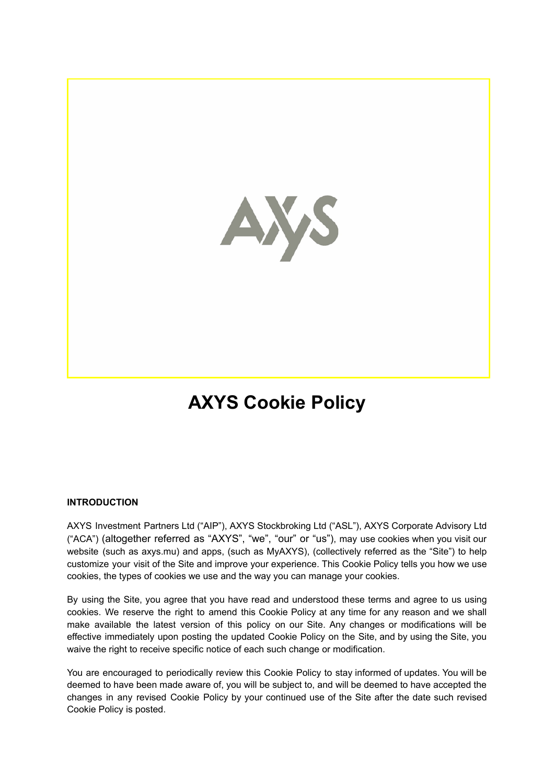

# **AXYS Cookie Policy**

## **INTRODUCTION**

AXYS Investment Partners Ltd ("AIP"), AXYS Stockbroking Ltd ("ASL"), AXYS Corporate Advisory Ltd ("ACA") (altogether referred as "AXYS", "we", "our" or "us"), may use cookies when you visit our website (such as axys.mu) and apps, (such as MyAXYS), (collectively referred as the "Site") to help customize your visit of the Site and improve your experience. This Cookie Policy tells you how we use cookies, the types of cookies we use and the way you can manage your cookies.

By using the Site, you agree that you have read and understood these terms and agree to us using cookies. We reserve the right to amend this Cookie Policy at any time for any reason and we shall make available the latest version of this policy on our Site. Any changes or modifications will be effective immediately upon posting the updated Cookie Policy on the Site, and by using the Site, you waive the right to receive specific notice of each such change or modification.

You are encouraged to periodically review this Cookie Policy to stay informed of updates. You will be deemed to have been made aware of, you will be subject to, and will be deemed to have accepted the changes in any revised Cookie Policy by your continued use of the Site after the date such revised Cookie Policy is posted.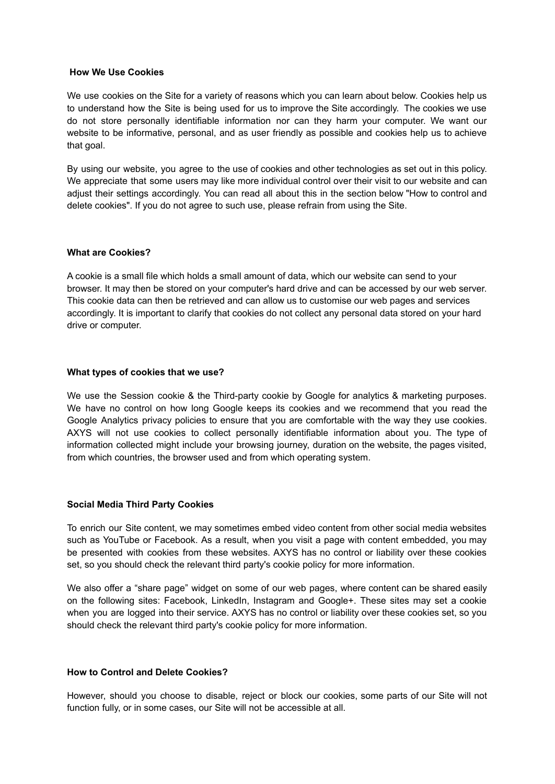#### **How We Use Cookies**

We use cookies on the Site for a variety of reasons which you can learn about below. Cookies help us to understand how the Site is being used for us to improve the Site accordingly. The cookies we use do not store personally identifiable information nor can they harm your computer. We want our website to be informative, personal, and as user friendly as possible and cookies help us to achieve that goal.

By using our website, you agree to the use of cookies and other technologies as set out in this policy. We appreciate that some users may like more individual control over their visit to our website and can adjust their settings accordingly. You can read all about this in the section below "How to control and delete cookies". If you do not agree to such use, please refrain from using the Site.

#### **What are Cookies?**

A cookie is a small file which holds a small amount of data, which our website can send to your browser. It may then be stored on your computer's hard drive and can be accessed by our web server. This cookie data can then be retrieved and can allow us to customise our web pages and services accordingly. It is important to clarify that cookies do not collect any personal data stored on your hard drive or computer.

#### **What types of cookies that we use?**

We use the Session cookie & the Third-party cookie by Google for analytics & marketing purposes. We have no control on how long Google keeps its cookies and we recommend that you read the Google Analytics privacy policies to ensure that you are comfortable with the way they use cookies. AXYS will not use cookies to collect personally identifiable information about you. The type of information collected might include your browsing journey, duration on the website, the pages visited, from which countries, the browser used and from which operating system.

#### **Social Media Third Party Cookies**

To enrich our Site content, we may sometimes embed video content from other social media websites such as YouTube or Facebook. As a result, when you visit a page with content embedded, you may be presented with cookies from these websites. AXYS has no control or liability over these cookies set, so you should check the relevant third party's cookie policy for more information.

We also offer a "share page" widget on some of our web pages, where content can be shared easily on the following sites: Facebook, LinkedIn, Instagram and Google+. These sites may set a cookie when you are logged into their service. AXYS has no control or liability over these cookies set, so you should check the relevant third party's cookie policy for more information.

#### **How to Control and Delete Cookies?**

However, should you choose to disable, reject or block our cookies, some parts of our Site will not function fully, or in some cases, our Site will not be accessible at all.